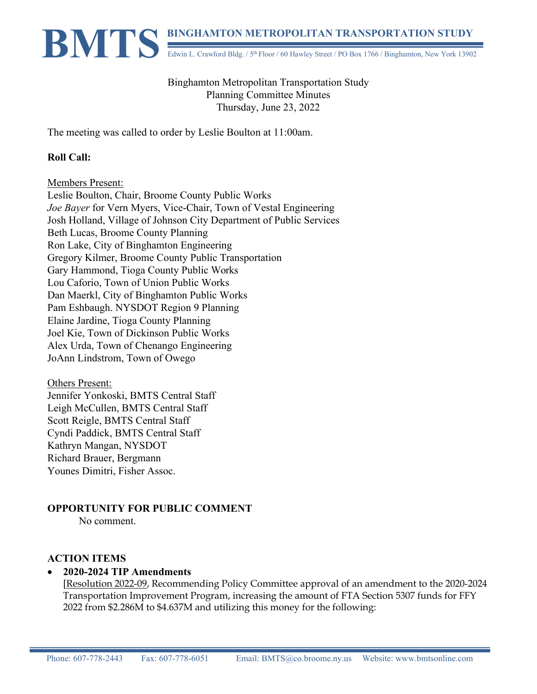# **BINGHAMTON METROPOLITAN TRANSPORTATION STUDY**<br>Edwin L. Crawford Bldg. / 5<sup>th</sup> Floor / 60 Hawley Street / PO Box 1766 / Binghamton, New York 1390 Edwin L. Crawford Bldg. / 5<sup>th</sup> Floor / 60 Hawley Street / PO Box 1766 / Binghamton, New York 13902

Binghamton Metropolitan Transportation Study Planning Committee Minutes Thursday, June 23, 2022

The meeting was called to order by Leslie Boulton at 11:00am.

#### **Roll Call:**

Members Present:

Leslie Boulton, Chair, Broome County Public Works *Joe Bayer* for Vern Myers, Vice-Chair, Town of Vestal Engineering Josh Holland, Village of Johnson City Department of Public Services Beth Lucas, Broome County Planning Ron Lake, City of Binghamton Engineering Gregory Kilmer, Broome County Public Transportation Gary Hammond, Tioga County Public Works Lou Caforio, Town of Union Public Works Dan Maerkl, City of Binghamton Public Works Pam Eshbaugh. NYSDOT Region 9 Planning Elaine Jardine, Tioga County Planning Joel Kie, Town of Dickinson Public Works Alex Urda, Town of Chenango Engineering JoAnn Lindstrom, Town of Owego

Others Present: Jennifer Yonkoski, BMTS Central Staff Leigh McCullen, BMTS Central Staff Scott Reigle, BMTS Central Staff Cyndi Paddick, BMTS Central Staff Kathryn Mangan, NYSDOT Richard Brauer, Bergmann Younes Dimitri, Fisher Assoc.

#### **OPPORTUNITY FOR PUBLIC COMMENT**

No comment.

#### **ACTION ITEMS**

#### • **2020-2024 TIP Amendments**

 [Resolution 2022-09, Recommending Policy Committee approval of an amendment to the 2020-2024 Transportation Improvement Program, increasing the amount of FTA Section 5307 funds for FFY 2022 from \$2.286M to \$4.637M and utilizing this money for the following: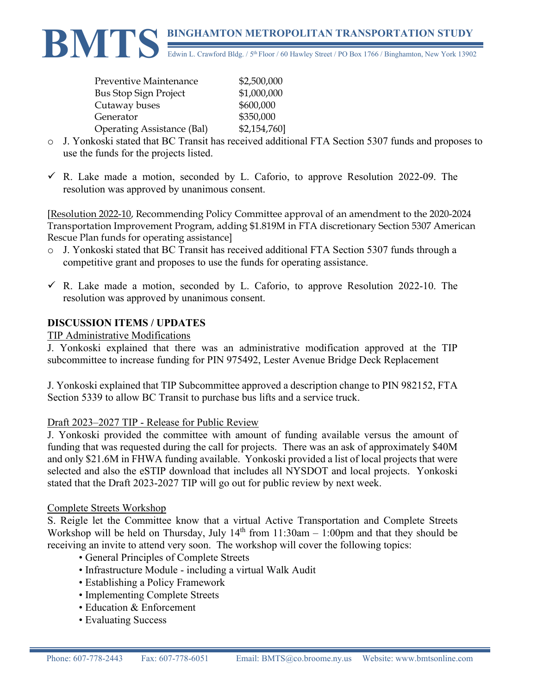

| Preventive Maintenance            | \$2,500,000  |
|-----------------------------------|--------------|
| <b>Bus Stop Sign Project</b>      | \$1,000,000  |
| Cutaway buses                     | \$600,000    |
| Generator                         | \$350,000    |
| <b>Operating Assistance (Bal)</b> | \$2,154,760] |

- o J. Yonkoski stated that BC Transit has received additional FTA Section 5307 funds and proposes to use the funds for the projects listed.
- $\checkmark$  R. Lake made a motion, seconded by L. Caforio, to approve Resolution 2022-09. The resolution was approved by unanimous consent.

[Resolution 2022-10, Recommending Policy Committee approval of an amendment to the 2020-2024 Transportation Improvement Program, adding \$1.819M in FTA discretionary Section 5307 American Rescue Plan funds for operating assistance]

- o J. Yonkoski stated that BC Transit has received additional FTA Section 5307 funds through a competitive grant and proposes to use the funds for operating assistance.
- $\checkmark$  R. Lake made a motion, seconded by L. Caforio, to approve Resolution 2022-10. The resolution was approved by unanimous consent.

## **DISCUSSION ITEMS / UPDATES**

#### TIP Administrative Modifications

J. Yonkoski explained that there was an administrative modification approved at the TIP subcommittee to increase funding for PIN 975492, Lester Avenue Bridge Deck Replacement

J. Yonkoski explained that TIP Subcommittee approved a description change to PIN 982152, FTA Section 5339 to allow BC Transit to purchase bus lifts and a service truck.

#### Draft 2023–2027 TIP - Release for Public Review

J. Yonkoski provided the committee with amount of funding available versus the amount of funding that was requested during the call for projects. There was an ask of approximately \$40M and only \$21.6M in FHWA funding available. Yonkoski provided a list of local projects that were selected and also the eSTIP download that includes all NYSDOT and local projects. Yonkoski stated that the Draft 2023-2027 TIP will go out for public review by next week.

#### Complete Streets Workshop

S. Reigle let the Committee know that a virtual Active Transportation and Complete Streets Workshop will be held on Thursday, July  $14<sup>th</sup>$  from  $11:30am - 1:00pm$  and that they should be receiving an invite to attend very soon. The workshop will cover the following topics:

- General Principles of Complete Streets
- Infrastructure Module including a virtual Walk Audit
- Establishing a Policy Framework
- Implementing Complete Streets
- Education & Enforcement
- Evaluating Success